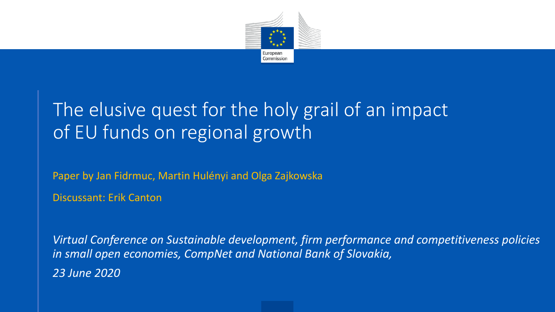

## The elusive quest for the holy grail of an impact of EU funds on regional growth

Paper by Jan Fidrmuc, Martin Hulényi and Olga Zajkowska

Discussant: Erik Canton

*Virtual Conference on Sustainable development, firm performance and competitiveness policies in small open economies, CompNet and National Bank of Slovakia, 23 June 2020*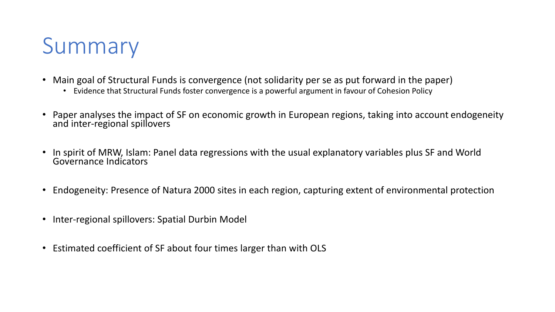

- Main goal of Structural Funds is convergence (not solidarity per se as put forward in the paper)
	- Evidence that Structural Funds foster convergence is a powerful argument in favour of Cohesion Policy
- Paper analyses the impact of SF on economic growth in European regions, taking into account endogeneity and inter-regional spillovers
- In spirit of MRW, Islam: Panel data regressions with the usual explanatory variables plus SF and World Governance Indicators
- Endogeneity: Presence of Natura 2000 sites in each region, capturing extent of environmental protection
- Inter-regional spillovers: Spatial Durbin Model
- Estimated coefficient of SF about four times larger than with OLS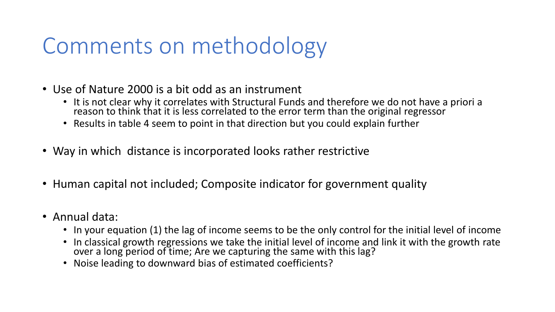## Comments on methodology

- Use of Nature 2000 is a bit odd as an instrument
	- It is not clear why it correlates with Structural Funds and therefore we do not have a priori a reason to think that it is less correlated to the error term than the original regressor
	- Results in table 4 seem to point in that direction but you could explain further
- Way in which distance is incorporated looks rather restrictive
- Human capital not included; Composite indicator for government quality
- Annual data:
	- In your equation (1) the lag of income seems to be the only control for the initial level of income
	- In classical growth regressions we take the initial level of income and link it with the growth rate over a long period of time; Are we capturing the same with this lag?
	- Noise leading to downward bias of estimated coefficients?